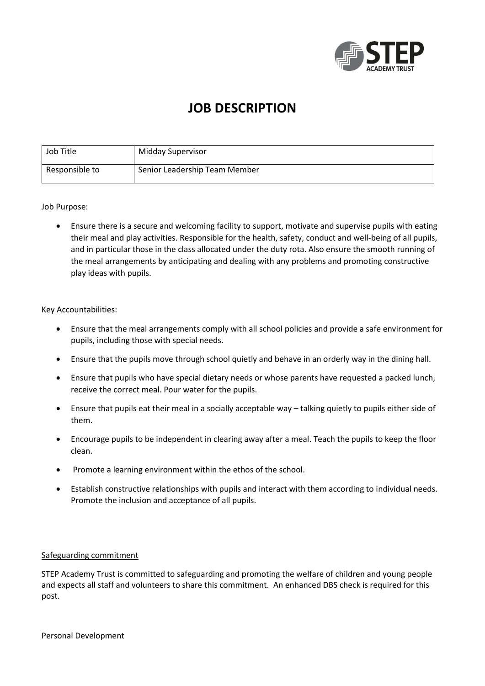

# **JOB DESCRIPTION**

| Job Title      | Midday Supervisor             |
|----------------|-------------------------------|
| Responsible to | Senior Leadership Team Member |

Job Purpose:

 Ensure there is a secure and welcoming facility to support, motivate and supervise pupils with eating their meal and play activities. Responsible for the health, safety, conduct and well-being of all pupils, and in particular those in the class allocated under the duty rota. Also ensure the smooth running of the meal arrangements by anticipating and dealing with any problems and promoting constructive play ideas with pupils.

#### Key Accountabilities:

- Ensure that the meal arrangements comply with all school policies and provide a safe environment for pupils, including those with special needs.
- Ensure that the pupils move through school quietly and behave in an orderly way in the dining hall.
- Ensure that pupils who have special dietary needs or whose parents have requested a packed lunch, receive the correct meal. Pour water for the pupils.
- Ensure that pupils eat their meal in a socially acceptable way talking quietly to pupils either side of them.
- Encourage pupils to be independent in clearing away after a meal. Teach the pupils to keep the floor clean.
- Promote a learning environment within the ethos of the school.
- Establish constructive relationships with pupils and interact with them according to individual needs. Promote the inclusion and acceptance of all pupils.

#### Safeguarding commitment

STEP Academy Trust is committed to safeguarding and promoting the welfare of children and young people and expects all staff and volunteers to share this commitment. An enhanced DBS check is required for this post.

Personal Development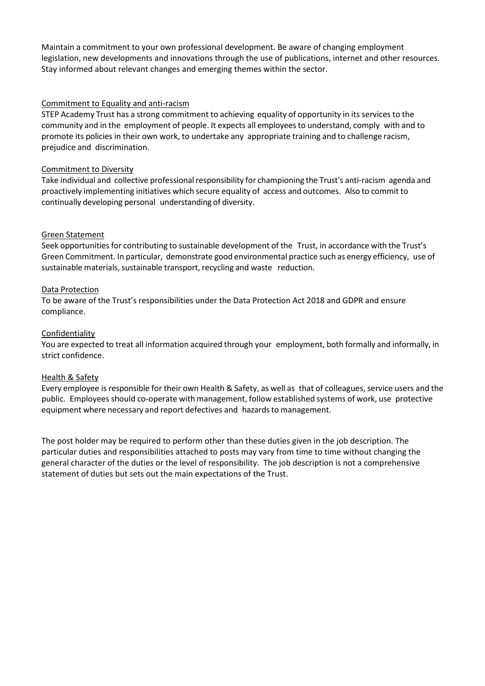Maintain a commitment to your own professional development. Be aware of changing employment legislation, new developments and innovations through the use of publications, internet and other resources. Stay informed about relevant changes and emerging themes within the sector.

#### Commitment to Equality and anti-racism

STEP Academy Trust has a strong commitment to achieving equality of opportunity in its services to the community and in the employment of people. It expects all employeesto understand, comply with and to promote its policies in their own work, to undertake any appropriate training and to challenge racism, prejudice and discrimination.

## Commitment to Diversity

Take individual and collective professional responsibility for championing the Trust's anti-racism agenda and proactively implementing initiatives which secure equality of access and outcomes. Also to commit to continually developing personal understanding of diversity.

### Green Statement

Seek opportunities for contributing to sustainable development of the Trust, in accordance with the Trust's Green Commitment. In particular, demonstrate good environmental practice such as energy efficiency, use of sustainable materials, sustainable transport, recycling and waste reduction.

### Data Protection

To be aware of the Trust's responsibilities under the Data Protection Act 2018 and GDPR and ensure compliance.

### Confidentiality

You are expected to treat all information acquired through your employment, both formally and informally, in strict confidence.

#### Health & Safety

Every employee is responsible for their own Health & Safety, as well as that of colleagues, service users and the public. Employees should co-operate with management, follow established systems of work, use protective equipment where necessary and report defectives and hazards to management.

The post holder may be required to perform other than these duties given in the job description. The particular duties and responsibilities attached to posts may vary from time to time without changing the general character of the duties or the level of responsibility. The job description is not a comprehensive statement of duties but sets out the main expectations of the Trust.